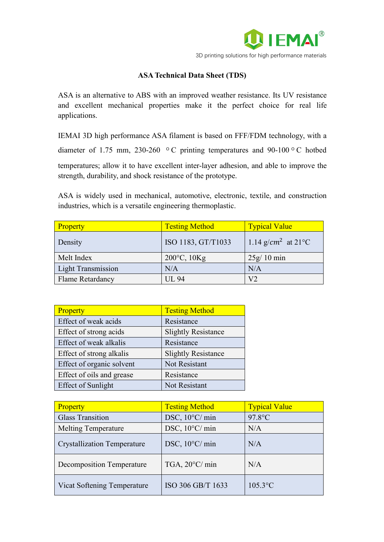

## **ASA Technical Data Sheet (TDS)**

ASA is an alternative to ABS with an improved weather resistance. Its UV resistance and excellent mechanical properties make it the perfect choice for real life applications.

IEMAI 3D high performance ASA filament is based on FFF/FDM technology, with a diameter of 1.75 mm, 230-260 º C printing temperatures and 90-100 º C hotbed temperatures; allow it to have excellent inter-layer adhesion, and able to improve the strength, durability, and shock resistance of the prototype.

ASA is widely used in mechanical, automotive, electronic, textile, and construction industries, which is a versatile engineering thermoplastic.

| Property                  | <b>Testing Method</b>    | <b>Typical Value</b>            |
|---------------------------|--------------------------|---------------------------------|
| Density                   | ISO 1183, GT/T1033       | 1.14 g/cm <sup>2</sup> at 21 °C |
| Melt Index                | $200^{\circ}$ C, $10$ Kg | $25g/10$ min                    |
| <b>Light Transmission</b> | N/A                      | N/A                             |
| <b>Flame Retardancy</b>   | <b>UL 94</b>             | V <sub>2</sub>                  |

| Property                  | <b>Testing Method</b>      |
|---------------------------|----------------------------|
| Effect of weak acids      | Resistance                 |
| Effect of strong acids    | <b>Slightly Resistance</b> |
| Effect of weak alkalis    | Resistance                 |
| Effect of strong alkalis  | <b>Slightly Resistance</b> |
| Effect of organic solvent | Not Resistant              |
| Effect of oils and grease | Resistance                 |
| <b>Effect of Sunlight</b> | Not Resistant              |

| Property                           | <b>Testing Method</b>    | <b>Typical Value</b> |
|------------------------------------|--------------------------|----------------------|
| <b>Glass Transition</b>            | DSC, 10°C/ min           | $97.8$ °C            |
| <b>Melting Temperature</b>         | DSC, 10°C/ min           | N/A                  |
| <b>Crystallization Temperature</b> | DSC, $10^{\circ}$ C/ min | N/A                  |
| Decomposition Temperature          | TGA, $20^{\circ}$ C/ min | N/A                  |
| Vicat Softening Temperature        | ISO 306 GB/T 1633        | $105.3$ °C           |